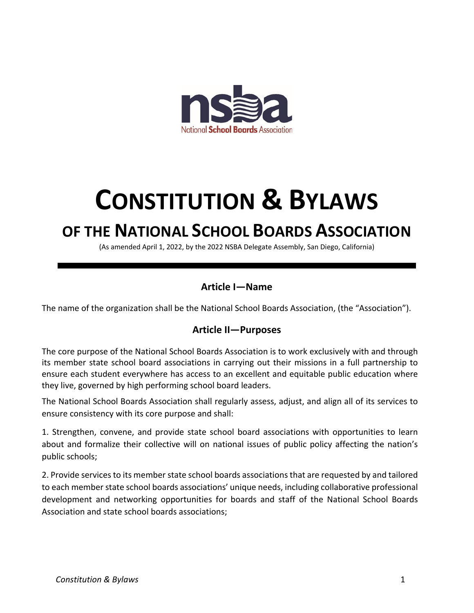

# **CONSTITUTION & BYLAWS**

# **OF THE NATIONAL SCHOOL BOARDS ASSOCIATION**

(As amended April 1, 2022, by the 2022 NSBA Delegate Assembly, San Diego, California)

# **Article I—Name**

The name of the organization shall be the National School Boards Association, (the "Association").

#### **Article II—Purposes**

The core purpose of the National School Boards Association is to work exclusively with and through its member state school board associations in carrying out their missions in a full partnership to ensure each student everywhere has access to an excellent and equitable public education where they live, governed by high performing school board leaders.

The National School Boards Association shall regularly assess, adjust, and align all of its services to ensure consistency with its core purpose and shall:

1. Strengthen, convene, and provide state school board associations with opportunities to learn about and formalize their collective will on national issues of public policy affecting the nation's public schools;

2. Provide services to its member state school boards associations that are requested by and tailored to each member state school boards associations' unique needs, including collaborative professional development and networking opportunities for boards and staff of the National School Boards Association and state school boards associations;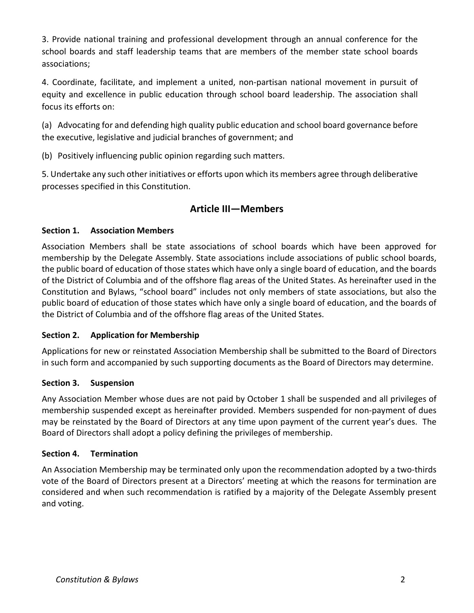3. Provide national training and professional development through an annual conference for the school boards and staff leadership teams that are members of the member state school boards associations;

4. Coordinate, facilitate, and implement a united, non-partisan national movement in pursuit of equity and excellence in public education through school board leadership. The association shall focus its efforts on:

(a) Advocating for and defending high quality public education and school board governance before the executive, legislative and judicial branches of government; and

(b) Positively influencing public opinion regarding such matters.

5. Undertake any such other initiatives or efforts upon which its members agree through deliberative processes specified in this Constitution.

# **Article III—Members**

#### **Section 1. Association Members**

Association Members shall be state associations of school boards which have been approved for membership by the Delegate Assembly. State associations include associations of public school boards, the public board of education of those states which have only a single board of education, and the boards of the District of Columbia and of the offshore flag areas of the United States. As hereinafter used in the Constitution and Bylaws, "school board" includes not only members of state associations, but also the public board of education of those states which have only a single board of education, and the boards of the District of Columbia and of the offshore flag areas of the United States.

#### **Section 2. Application for Membership**

Applications for new or reinstated Association Membership shall be submitted to the Board of Directors in such form and accompanied by such supporting documents as the Board of Directors may determine.

#### **Section 3. Suspension**

Any Association Member whose dues are not paid by October 1 shall be suspended and all privileges of membership suspended except as hereinafter provided. Members suspended for non-payment of dues may be reinstated by the Board of Directors at any time upon payment of the current year's dues. The Board of Directors shall adopt a policy defining the privileges of membership.

#### **Section 4. Termination**

An Association Membership may be terminated only upon the recommendation adopted by a two-thirds vote of the Board of Directors present at a Directors' meeting at which the reasons for termination are considered and when such recommendation is ratified by a majority of the Delegate Assembly present and voting.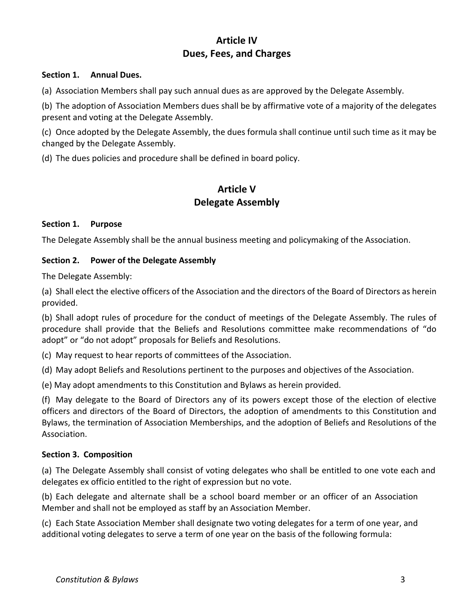# **Article IV Dues, Fees, and Charges**

#### **Section 1. Annual Dues.**

(a) Association Members shall pay such annual dues as are approved by the Delegate Assembly.

(b) The adoption of Association Members dues shall be by affirmative vote of a majority of the delegates present and voting at the Delegate Assembly.

(c) Once adopted by the Delegate Assembly, the dues formula shall continue until such time as it may be changed by the Delegate Assembly.

(d) The dues policies and procedure shall be defined in board policy.

# **Article V Delegate Assembly**

#### **Section 1. Purpose**

The Delegate Assembly shall be the annual business meeting and policymaking of the Association.

#### **Section 2. Power of the Delegate Assembly**

The Delegate Assembly:

(a) Shall elect the elective officers of the Association and the directors of the Board of Directors as herein provided.

(b) Shall adopt rules of procedure for the conduct of meetings of the Delegate Assembly. The rules of procedure shall provide that the Beliefs and Resolutions committee make recommendations of "do adopt" or "do not adopt" proposals for Beliefs and Resolutions.

(c) May request to hear reports of committees of the Association.

(d) May adopt Beliefs and Resolutions pertinent to the purposes and objectives of the Association.

(e) May adopt amendments to this Constitution and Bylaws as herein provided.

(f) May delegate to the Board of Directors any of its powers except those of the election of elective officers and directors of the Board of Directors, the adoption of amendments to this Constitution and Bylaws, the termination of Association Memberships, and the adoption of Beliefs and Resolutions of the Association.

#### **Section 3. Composition**

(a) The Delegate Assembly shall consist of voting delegates who shall be entitled to one vote each and delegates ex officio entitled to the right of expression but no vote.

(b) Each delegate and alternate shall be a school board member or an officer of an Association Member and shall not be employed as staff by an Association Member.

(c) Each State Association Member shall designate two voting delegates for a term of one year, and additional voting delegates to serve a term of one year on the basis of the following formula: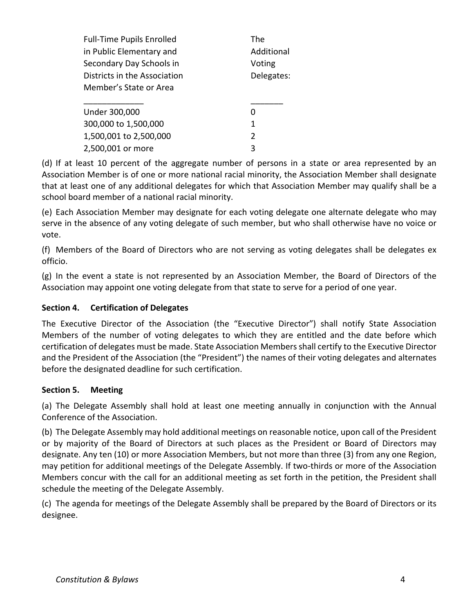| <b>Full-Time Pupils Enrolled</b> | The           |
|----------------------------------|---------------|
| in Public Elementary and         | Additional    |
| Secondary Day Schools in         | Voting        |
| Districts in the Association     | Delegates:    |
| Member's State or Area           |               |
|                                  |               |
| Under 300,000                    |               |
|                                  |               |
| 300,000 to 1,500,000             | 1             |
| 1,500,001 to 2,500,000           | $\mathcal{P}$ |

(d) If at least 10 percent of the aggregate number of persons in a state or area represented by an Association Member is of one or more national racial minority, the Association Member shall designate that at least one of any additional delegates for which that Association Member may qualify shall be a school board member of a national racial minority.

(e) Each Association Member may designate for each voting delegate one alternate delegate who may serve in the absence of any voting delegate of such member, but who shall otherwise have no voice or vote.

(f) Members of the Board of Directors who are not serving as voting delegates shall be delegates ex officio.

(g) In the event a state is not represented by an Association Member, the Board of Directors of the Association may appoint one voting delegate from that state to serve for a period of one year.

# **Section 4. Certification of Delegates**

The Executive Director of the Association (the "Executive Director") shall notify State Association Members of the number of voting delegates to which they are entitled and the date before which certification of delegates must be made. State Association Members shall certify to the Executive Director and the President of the Association (the "President") the names of their voting delegates and alternates before the designated deadline for such certification.

#### **Section 5. Meeting**

(a) The Delegate Assembly shall hold at least one meeting annually in conjunction with the Annual Conference of the Association.

(b) The Delegate Assembly may hold additional meetings on reasonable notice, upon call of the President or by majority of the Board of Directors at such places as the President or Board of Directors may designate. Any ten (10) or more Association Members, but not more than three (3) from any one Region, may petition for additional meetings of the Delegate Assembly. If two-thirds or more of the Association Members concur with the call for an additional meeting as set forth in the petition, the President shall schedule the meeting of the Delegate Assembly.

(c) The agenda for meetings of the Delegate Assembly shall be prepared by the Board of Directors or its designee.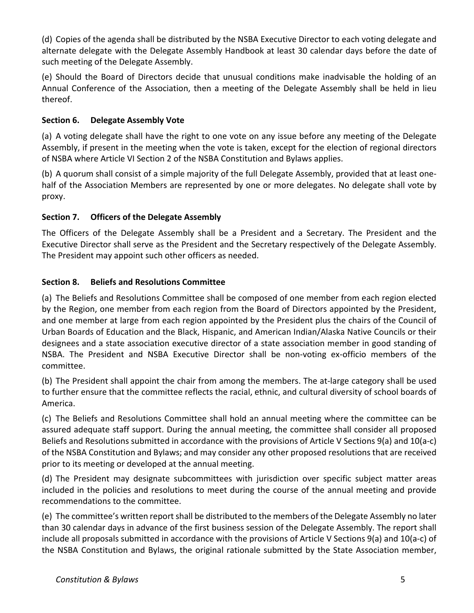(d) Copies of the agenda shall be distributed by the NSBA Executive Director to each voting delegate and alternate delegate with the Delegate Assembly Handbook at least 30 calendar days before the date of such meeting of the Delegate Assembly.

(e) Should the Board of Directors decide that unusual conditions make inadvisable the holding of an Annual Conference of the Association, then a meeting of the Delegate Assembly shall be held in lieu thereof.

#### **Section 6. Delegate Assembly Vote**

(a) A voting delegate shall have the right to one vote on any issue before any meeting of the Delegate Assembly, if present in the meeting when the vote is taken, except for the election of regional directors of NSBA where Article VI Section 2 of the NSBA Constitution and Bylaws applies.

(b) A quorum shall consist of a simple majority of the full Delegate Assembly, provided that at least onehalf of the Association Members are represented by one or more delegates. No delegate shall vote by proxy.

# **Section 7. Officers of the Delegate Assembly**

The Officers of the Delegate Assembly shall be a President and a Secretary. The President and the Executive Director shall serve as the President and the Secretary respectively of the Delegate Assembly. The President may appoint such other officers as needed.

# **Section 8. Beliefs and Resolutions Committee**

(a) The Beliefs and Resolutions Committee shall be composed of one member from each region elected by the Region, one member from each region from the Board of Directors appointed by the President, and one member at large from each region appointed by the President plus the chairs of the Council of Urban Boards of Education and the Black, Hispanic, and American Indian/Alaska Native Councils or their designees and a state association executive director of a state association member in good standing of NSBA. The President and NSBA Executive Director shall be non-voting ex-officio members of the committee.

(b) The President shall appoint the chair from among the members. The at-large category shall be used to further ensure that the committee reflects the racial, ethnic, and cultural diversity of school boards of America.

(c) The Beliefs and Resolutions Committee shall hold an annual meeting where the committee can be assured adequate staff support. During the annual meeting, the committee shall consider all proposed Beliefs and Resolutions submitted in accordance with the provisions of Article V Sections 9(a) and 10(a-c) of the NSBA Constitution and Bylaws; and may consider any other proposed resolutions that are received prior to its meeting or developed at the annual meeting.

(d) The President may designate subcommittees with jurisdiction over specific subject matter areas included in the policies and resolutions to meet during the course of the annual meeting and provide recommendations to the committee.

(e) The committee's written report shall be distributed to the members of the Delegate Assembly no later than 30 calendar days in advance of the first business session of the Delegate Assembly. The report shall include all proposals submitted in accordance with the provisions of Article V Sections 9(a) and 10(a-c) of the NSBA Constitution and Bylaws, the original rationale submitted by the State Association member,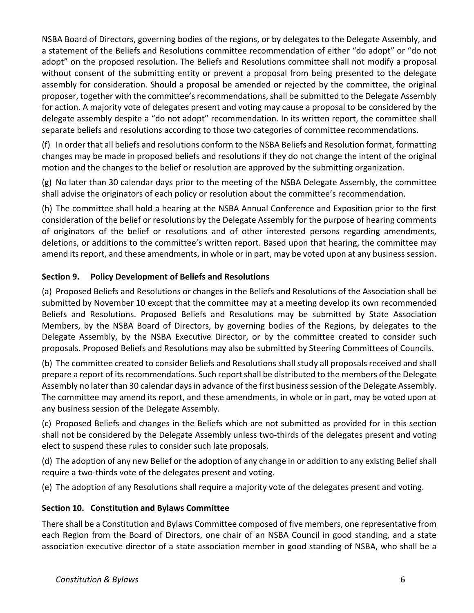NSBA Board of Directors, governing bodies of the regions, or by delegates to the Delegate Assembly, and a statement of the Beliefs and Resolutions committee recommendation of either "do adopt" or "do not adopt" on the proposed resolution. The Beliefs and Resolutions committee shall not modify a proposal without consent of the submitting entity or prevent a proposal from being presented to the delegate assembly for consideration. Should a proposal be amended or rejected by the committee, the original proposer, together with the committee's recommendations, shall be submitted to the Delegate Assembly for action. A majority vote of delegates present and voting may cause a proposal to be considered by the delegate assembly despite a "do not adopt" recommendation. In its written report, the committee shall separate beliefs and resolutions according to those two categories of committee recommendations.

(f) In order that all beliefs and resolutions conform to the NSBA Beliefs and Resolution format, formatting changes may be made in proposed beliefs and resolutions if they do not change the intent of the original motion and the changes to the belief or resolution are approved by the submitting organization.

(g) No later than 30 calendar days prior to the meeting of the NSBA Delegate Assembly, the committee shall advise the originators of each policy or resolution about the committee's recommendation.

(h) The committee shall hold a hearing at the NSBA Annual Conference and Exposition prior to the first consideration of the belief or resolutions by the Delegate Assembly for the purpose of hearing comments of originators of the belief or resolutions and of other interested persons regarding amendments, deletions, or additions to the committee's written report. Based upon that hearing, the committee may amend its report, and these amendments, in whole or in part, may be voted upon at any business session.

#### **Section 9. Policy Development of Beliefs and Resolutions**

(a) Proposed Beliefs and Resolutions or changes in the Beliefs and Resolutions of the Association shall be submitted by November 10 except that the committee may at a meeting develop its own recommended Beliefs and Resolutions. Proposed Beliefs and Resolutions may be submitted by State Association Members, by the NSBA Board of Directors, by governing bodies of the Regions, by delegates to the Delegate Assembly, by the NSBA Executive Director, or by the committee created to consider such proposals. Proposed Beliefs and Resolutions may also be submitted by Steering Committees of Councils.

(b) The committee created to consider Beliefs and Resolutions shall study all proposals received and shall prepare a report of its recommendations. Such report shall be distributed to the members of the Delegate Assembly no later than 30 calendar days in advance of the first business session of the Delegate Assembly. The committee may amend its report, and these amendments, in whole or in part, may be voted upon at any business session of the Delegate Assembly.

(c) Proposed Beliefs and changes in the Beliefs which are not submitted as provided for in this section shall not be considered by the Delegate Assembly unless two-thirds of the delegates present and voting elect to suspend these rules to consider such late proposals.

(d) The adoption of any new Belief or the adoption of any change in or addition to any existing Belief shall require a two-thirds vote of the delegates present and voting.

(e) The adoption of any Resolutions shall require a majority vote of the delegates present and voting.

# **Section 10. Constitution and Bylaws Committee**

There shall be a Constitution and Bylaws Committee composed of five members, one representative from each Region from the Board of Directors, one chair of an NSBA Council in good standing, and a state association executive director of a state association member in good standing of NSBA, who shall be a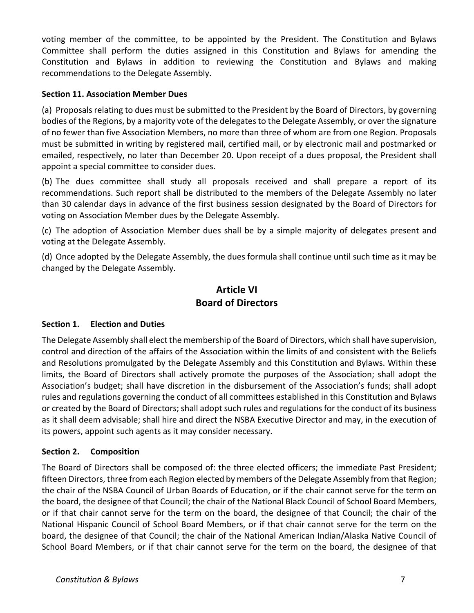voting member of the committee, to be appointed by the President. The Constitution and Bylaws Committee shall perform the duties assigned in this Constitution and Bylaws for amending the Constitution and Bylaws in addition to reviewing the Constitution and Bylaws and making recommendations to the Delegate Assembly.

#### **Section 11. Association Member Dues**

(a) Proposals relating to dues must be submitted to the President by the Board of Directors, by governing bodies of the Regions, by a majority vote of the delegates to the Delegate Assembly, or over the signature of no fewer than five Association Members, no more than three of whom are from one Region. Proposals must be submitted in writing by registered mail, certified mail, or by electronic mail and postmarked or emailed, respectively, no later than December 20. Upon receipt of a dues proposal, the President shall appoint a special committee to consider dues.

(b) The dues committee shall study all proposals received and shall prepare a report of its recommendations. Such report shall be distributed to the members of the Delegate Assembly no later than 30 calendar days in advance of the first business session designated by the Board of Directors for voting on Association Member dues by the Delegate Assembly.

(c) The adoption of Association Member dues shall be by a simple majority of delegates present and voting at the Delegate Assembly.

(d) Once adopted by the Delegate Assembly, the dues formula shall continue until such time as it may be changed by the Delegate Assembly.

# **Article VI Board of Directors**

#### **Section 1. Election and Duties**

The Delegate Assembly shall elect the membership of the Board of Directors, which shall have supervision, control and direction of the affairs of the Association within the limits of and consistent with the Beliefs and Resolutions promulgated by the Delegate Assembly and this Constitution and Bylaws. Within these limits, the Board of Directors shall actively promote the purposes of the Association; shall adopt the Association's budget; shall have discretion in the disbursement of the Association's funds; shall adopt rules and regulations governing the conduct of all committees established in this Constitution and Bylaws or created by the Board of Directors; shall adopt such rules and regulations for the conduct of its business as it shall deem advisable; shall hire and direct the NSBA Executive Director and may, in the execution of its powers, appoint such agents as it may consider necessary.

#### **Section 2. Composition**

The Board of Directors shall be composed of: the three elected officers; the immediate Past President; fifteen Directors, three from each Region elected by members of the Delegate Assembly from that Region; the chair of the NSBA Council of Urban Boards of Education, or if the chair cannot serve for the term on the board, the designee of that Council; the chair of the National Black Council of School Board Members, or if that chair cannot serve for the term on the board, the designee of that Council; the chair of the National Hispanic Council of School Board Members, or if that chair cannot serve for the term on the board, the designee of that Council; the chair of the National American Indian/Alaska Native Council of School Board Members, or if that chair cannot serve for the term on the board, the designee of that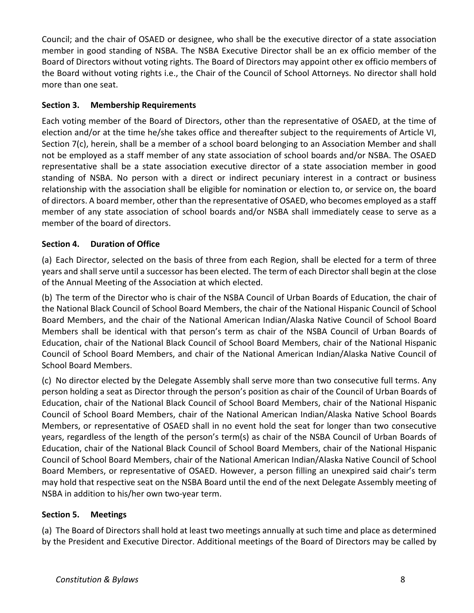Council; and the chair of OSAED or designee, who shall be the executive director of a state association member in good standing of NSBA. The NSBA Executive Director shall be an ex officio member of the Board of Directors without voting rights. The Board of Directors may appoint other ex officio members of the Board without voting rights i.e., the Chair of the Council of School Attorneys. No director shall hold more than one seat.

#### **Section 3. Membership Requirements**

Each voting member of the Board of Directors, other than the representative of OSAED, at the time of election and/or at the time he/she takes office and thereafter subject to the requirements of Article VI, Section 7(c), herein, shall be a member of a school board belonging to an Association Member and shall not be employed as a staff member of any state association of school boards and/or NSBA. The OSAED representative shall be a state association executive director of a state association member in good standing of NSBA. No person with a direct or indirect pecuniary interest in a contract or business relationship with the association shall be eligible for nomination or election to, or service on, the board of directors. A board member, other than the representative of OSAED, who becomes employed as a staff member of any state association of school boards and/or NSBA shall immediately cease to serve as a member of the board of directors.

#### **Section 4. Duration of Office**

(a) Each Director, selected on the basis of three from each Region, shall be elected for a term of three years and shall serve until a successor has been elected. The term of each Director shall begin at the close of the Annual Meeting of the Association at which elected.

(b) The term of the Director who is chair of the NSBA Council of Urban Boards of Education, the chair of the National Black Council of School Board Members, the chair of the National Hispanic Council of School Board Members, and the chair of the National American Indian/Alaska Native Council of School Board Members shall be identical with that person's term as chair of the NSBA Council of Urban Boards of Education, chair of the National Black Council of School Board Members, chair of the National Hispanic Council of School Board Members, and chair of the National American Indian/Alaska Native Council of School Board Members.

(c) No director elected by the Delegate Assembly shall serve more than two consecutive full terms. Any person holding a seat as Director through the person's position as chair of the Council of Urban Boards of Education, chair of the National Black Council of School Board Members, chair of the National Hispanic Council of School Board Members, chair of the National American Indian/Alaska Native School Boards Members, or representative of OSAED shall in no event hold the seat for longer than two consecutive years, regardless of the length of the person's term(s) as chair of the NSBA Council of Urban Boards of Education, chair of the National Black Council of School Board Members, chair of the National Hispanic Council of School Board Members, chair of the National American Indian/Alaska Native Council of School Board Members, or representative of OSAED. However, a person filling an unexpired said chair's term may hold that respective seat on the NSBA Board until the end of the next Delegate Assembly meeting of NSBA in addition to his/her own two-year term.

#### **Section 5. Meetings**

(a) The Board of Directors shall hold at least two meetings annually at such time and place as determined by the President and Executive Director. Additional meetings of the Board of Directors may be called by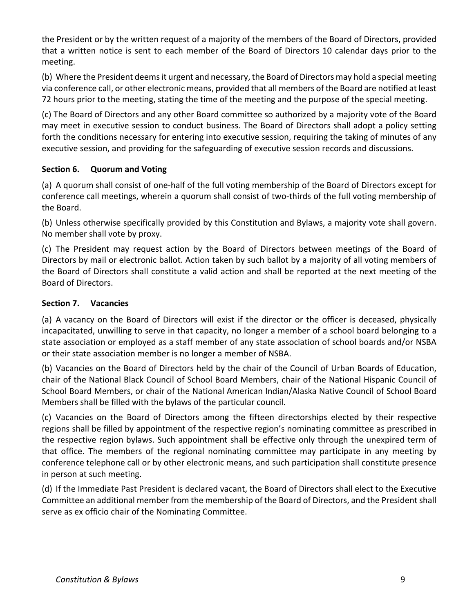the President or by the written request of a majority of the members of the Board of Directors, provided that a written notice is sent to each member of the Board of Directors 10 calendar days prior to the meeting.

(b) Where the President deems it urgent and necessary, the Board of Directors may hold a special meeting via conference call, or other electronic means, provided that all members of the Board are notified at least 72 hours prior to the meeting, stating the time of the meeting and the purpose of the special meeting.

(c) The Board of Directors and any other Board committee so authorized by a majority vote of the Board may meet in executive session to conduct business. The Board of Directors shall adopt a policy setting forth the conditions necessary for entering into executive session, requiring the taking of minutes of any executive session, and providing for the safeguarding of executive session records and discussions.

#### **Section 6. Quorum and Voting**

(a) A quorum shall consist of one-half of the full voting membership of the Board of Directors except for conference call meetings, wherein a quorum shall consist of two-thirds of the full voting membership of the Board.

(b) Unless otherwise specifically provided by this Constitution and Bylaws, a majority vote shall govern. No member shall vote by proxy.

(c) The President may request action by the Board of Directors between meetings of the Board of Directors by mail or electronic ballot. Action taken by such ballot by a majority of all voting members of the Board of Directors shall constitute a valid action and shall be reported at the next meeting of the Board of Directors.

#### **Section 7. Vacancies**

(a) A vacancy on the Board of Directors will exist if the director or the officer is deceased, physically incapacitated, unwilling to serve in that capacity, no longer a member of a school board belonging to a state association or employed as a staff member of any state association of school boards and/or NSBA or their state association member is no longer a member of NSBA.

(b) Vacancies on the Board of Directors held by the chair of the Council of Urban Boards of Education, chair of the National Black Council of School Board Members, chair of the National Hispanic Council of School Board Members, or chair of the National American Indian/Alaska Native Council of School Board Members shall be filled with the bylaws of the particular council.

(c) Vacancies on the Board of Directors among the fifteen directorships elected by their respective regions shall be filled by appointment of the respective region's nominating committee as prescribed in the respective region bylaws. Such appointment shall be effective only through the unexpired term of that office. The members of the regional nominating committee may participate in any meeting by conference telephone call or by other electronic means, and such participation shall constitute presence in person at such meeting.

(d) If the Immediate Past President is declared vacant, the Board of Directors shall elect to the Executive Committee an additional member from the membership of the Board of Directors, and the President shall serve as ex officio chair of the Nominating Committee.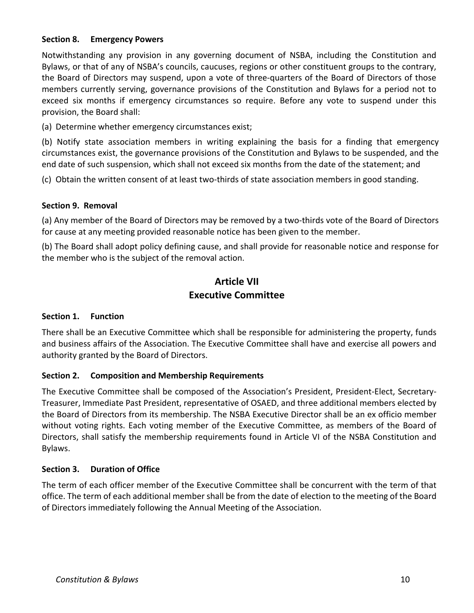#### **Section 8. Emergency Powers**

Notwithstanding any provision in any governing document of NSBA, including the Constitution and Bylaws, or that of any of NSBA's councils, caucuses, regions or other constituent groups to the contrary, the Board of Directors may suspend, upon a vote of three-quarters of the Board of Directors of those members currently serving, governance provisions of the Constitution and Bylaws for a period not to exceed six months if emergency circumstances so require. Before any vote to suspend under this provision, the Board shall:

(a) Determine whether emergency circumstances exist;

(b) Notify state association members in writing explaining the basis for a finding that emergency circumstances exist, the governance provisions of the Constitution and Bylaws to be suspended, and the end date of such suspension, which shall not exceed six months from the date of the statement; and

(c) Obtain the written consent of at least two-thirds of state association members in good standing.

#### **Section 9. Removal**

(a) Any member of the Board of Directors may be removed by a two-thirds vote of the Board of Directors for cause at any meeting provided reasonable notice has been given to the member.

(b) The Board shall adopt policy defining cause, and shall provide for reasonable notice and response for the member who is the subject of the removal action.

# **Article VII Executive Committee**

#### **Section 1. Function**

There shall be an Executive Committee which shall be responsible for administering the property, funds and business affairs of the Association. The Executive Committee shall have and exercise all powers and authority granted by the Board of Directors.

#### **Section 2. Composition and Membership Requirements**

The Executive Committee shall be composed of the Association's President, President-Elect, Secretary-Treasurer, Immediate Past President, representative of OSAED, and three additional members elected by the Board of Directors from its membership. The NSBA Executive Director shall be an ex officio member without voting rights. Each voting member of the Executive Committee, as members of the Board of Directors, shall satisfy the membership requirements found in Article VI of the NSBA Constitution and Bylaws.

#### **Section 3. Duration of Office**

The term of each officer member of the Executive Committee shall be concurrent with the term of that office. The term of each additional member shall be from the date of election to the meeting of the Board of Directors immediately following the Annual Meeting of the Association.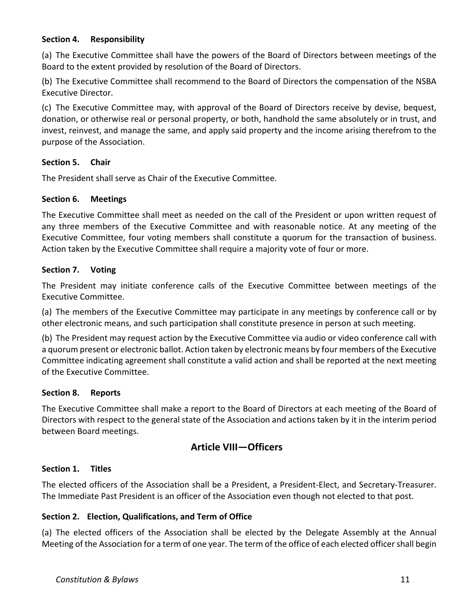#### **Section 4. Responsibility**

(a) The Executive Committee shall have the powers of the Board of Directors between meetings of the Board to the extent provided by resolution of the Board of Directors.

(b) The Executive Committee shall recommend to the Board of Directors the compensation of the NSBA Executive Director.

(c) The Executive Committee may, with approval of the Board of Directors receive by devise, bequest, donation, or otherwise real or personal property, or both, handhold the same absolutely or in trust, and invest, reinvest, and manage the same, and apply said property and the income arising therefrom to the purpose of the Association.

#### **Section 5. Chair**

The President shall serve as Chair of the Executive Committee.

#### **Section 6. Meetings**

The Executive Committee shall meet as needed on the call of the President or upon written request of any three members of the Executive Committee and with reasonable notice. At any meeting of the Executive Committee, four voting members shall constitute a quorum for the transaction of business. Action taken by the Executive Committee shall require a majority vote of four or more.

#### **Section 7. Voting**

The President may initiate conference calls of the Executive Committee between meetings of the Executive Committee.

(a) The members of the Executive Committee may participate in any meetings by conference call or by other electronic means, and such participation shall constitute presence in person at such meeting.

(b) The President may request action by the Executive Committee via audio or video conference call with a quorum present or electronic ballot. Action taken by electronic means by four members of the Executive Committee indicating agreement shall constitute a valid action and shall be reported at the next meeting of the Executive Committee.

#### **Section 8. Reports**

The Executive Committee shall make a report to the Board of Directors at each meeting of the Board of Directors with respect to the general state of the Association and actions taken by it in the interim period between Board meetings.

# **Article VIII—Officers**

#### **Section 1. Titles**

The elected officers of the Association shall be a President, a President-Elect, and Secretary-Treasurer. The Immediate Past President is an officer of the Association even though not elected to that post.

#### **Section 2. Election, Qualifications, and Term of Office**

(a) The elected officers of the Association shall be elected by the Delegate Assembly at the Annual Meeting of the Association for a term of one year. The term of the office of each elected officer shall begin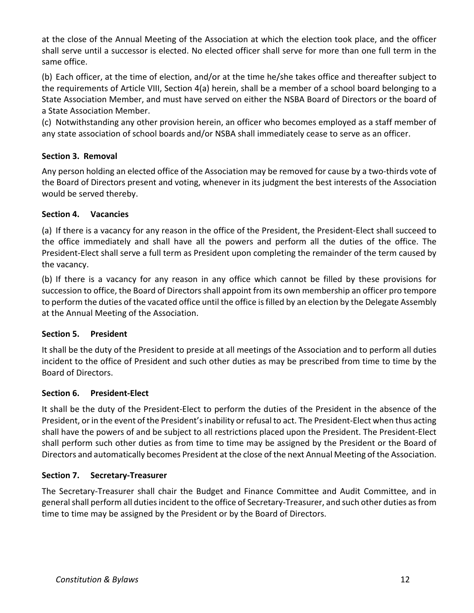at the close of the Annual Meeting of the Association at which the election took place, and the officer shall serve until a successor is elected. No elected officer shall serve for more than one full term in the same office.

(b) Each officer, at the time of election, and/or at the time he/she takes office and thereafter subject to the requirements of Article VIII, Section 4(a) herein, shall be a member of a school board belonging to a State Association Member, and must have served on either the NSBA Board of Directors or the board of a State Association Member.

(c) Notwithstanding any other provision herein, an officer who becomes employed as a staff member of any state association of school boards and/or NSBA shall immediately cease to serve as an officer.

#### **Section 3. Removal**

Any person holding an elected office of the Association may be removed for cause by a two-thirds vote of the Board of Directors present and voting, whenever in its judgment the best interests of the Association would be served thereby.

#### **Section 4. Vacancies**

(a) If there is a vacancy for any reason in the office of the President, the President-Elect shall succeed to the office immediately and shall have all the powers and perform all the duties of the office. The President-Elect shall serve a full term as President upon completing the remainder of the term caused by the vacancy.

(b) If there is a vacancy for any reason in any office which cannot be filled by these provisions for succession to office, the Board of Directors shall appoint from its own membership an officer pro tempore to perform the duties of the vacated office until the office is filled by an election by the Delegate Assembly at the Annual Meeting of the Association.

# **Section 5. President**

It shall be the duty of the President to preside at all meetings of the Association and to perform all duties incident to the office of President and such other duties as may be prescribed from time to time by the Board of Directors.

#### **Section 6. President-Elect**

It shall be the duty of the President-Elect to perform the duties of the President in the absence of the President, or in the event of the President's inability or refusal to act. The President-Elect when thus acting shall have the powers of and be subject to all restrictions placed upon the President. The President-Elect shall perform such other duties as from time to time may be assigned by the President or the Board of Directors and automatically becomes President at the close of the next Annual Meeting of the Association.

#### **Section 7. Secretary-Treasurer**

The Secretary-Treasurer shall chair the Budget and Finance Committee and Audit Committee, and in general shall perform all duties incident to the office of Secretary-Treasurer, and such other duties as from time to time may be assigned by the President or by the Board of Directors.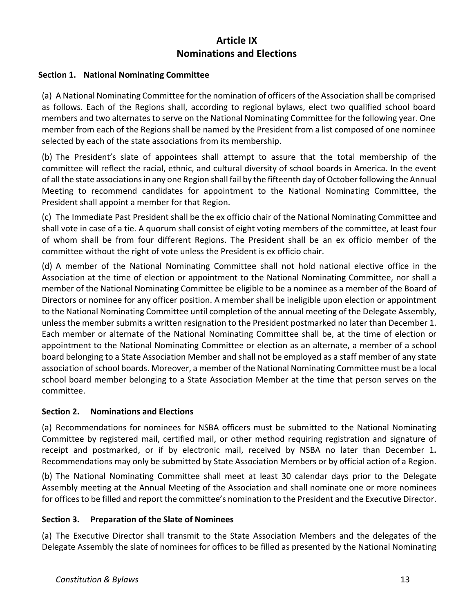# **Article IX Nominations and Elections**

#### **Section 1. National Nominating Committee**

(a) A National Nominating Committee for the nomination of officers of the Association shall be comprised as follows. Each of the Regions shall, according to regional bylaws, elect two qualified school board members and two alternates to serve on the National Nominating Committee for the following year. One member from each of the Regions shall be named by the President from a list composed of one nominee selected by each of the state associations from its membership.

(b) The President's slate of appointees shall attempt to assure that the total membership of the committee will reflect the racial, ethnic, and cultural diversity of school boards in America. In the event of all the state associations in any one Region shall fail by the fifteenth day of October following the Annual Meeting to recommend candidates for appointment to the National Nominating Committee, the President shall appoint a member for that Region.

(c) The Immediate Past President shall be the ex officio chair of the National Nominating Committee and shall vote in case of a tie. A quorum shall consist of eight voting members of the committee, at least four of whom shall be from four different Regions. The President shall be an ex officio member of the committee without the right of vote unless the President is ex officio chair.

(d) A member of the National Nominating Committee shall not hold national elective office in the Association at the time of election or appointment to the National Nominating Committee, nor shall a member of the National Nominating Committee be eligible to be a nominee as a member of the Board of Directors or nominee for any officer position. A member shall be ineligible upon election or appointment to the National Nominating Committee until completion of the annual meeting of the Delegate Assembly, unless the member submits a written resignation to the President postmarked no later than December 1. Each member or alternate of the National Nominating Committee shall be, at the time of election or appointment to the National Nominating Committee or election as an alternate, a member of a school board belonging to a State Association Member and shall not be employed as a staff member of any state association of school boards. Moreover, a member of the National Nominating Committee must be a local school board member belonging to a State Association Member at the time that person serves on the committee.

#### **Section 2. Nominations and Elections**

(a) Recommendations for nominees for NSBA officers must be submitted to the National Nominating Committee by registered mail, certified mail, or other method requiring registration and signature of receipt and postmarked, or if by electronic mail, received by NSBA no later than December 1**.** Recommendations may only be submitted by State Association Members or by official action of a Region.

(b) The National Nominating Committee shall meet at least 30 calendar days prior to the Delegate Assembly meeting at the Annual Meeting of the Association and shall nominate one or more nominees for offices to be filled and report the committee's nomination to the President and the Executive Director.

#### **Section 3. Preparation of the Slate of Nominees**

(a) The Executive Director shall transmit to the State Association Members and the delegates of the Delegate Assembly the slate of nominees for offices to be filled as presented by the National Nominating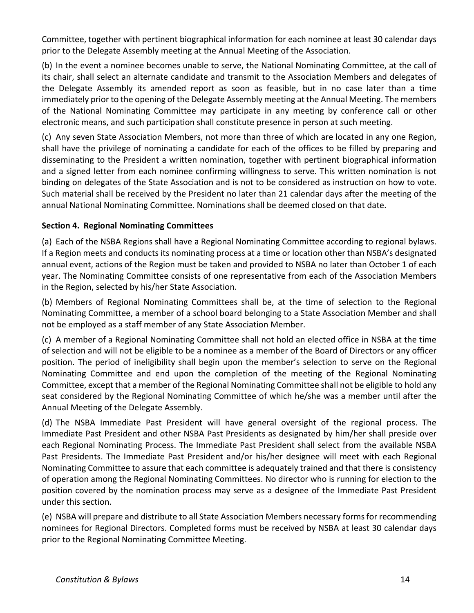Committee, together with pertinent biographical information for each nominee at least 30 calendar days prior to the Delegate Assembly meeting at the Annual Meeting of the Association.

(b) In the event a nominee becomes unable to serve, the National Nominating Committee, at the call of its chair, shall select an alternate candidate and transmit to the Association Members and delegates of the Delegate Assembly its amended report as soon as feasible, but in no case later than a time immediately prior to the opening of the Delegate Assembly meeting at the Annual Meeting. The members of the National Nominating Committee may participate in any meeting by conference call or other electronic means, and such participation shall constitute presence in person at such meeting.

(c) Any seven State Association Members, not more than three of which are located in any one Region, shall have the privilege of nominating a candidate for each of the offices to be filled by preparing and disseminating to the President a written nomination, together with pertinent biographical information and a signed letter from each nominee confirming willingness to serve. This written nomination is not binding on delegates of the State Association and is not to be considered as instruction on how to vote. Such material shall be received by the President no later than 21 calendar days after the meeting of the annual National Nominating Committee. Nominations shall be deemed closed on that date.

#### **Section 4. Regional Nominating Committees**

(a) Each of the NSBA Regions shall have a Regional Nominating Committee according to regional bylaws. If a Region meets and conducts its nominating process at a time or location other than NSBA's designated annual event, actions of the Region must be taken and provided to NSBA no later than October 1 of each year. The Nominating Committee consists of one representative from each of the Association Members in the Region, selected by his/her State Association.

(b) Members of Regional Nominating Committees shall be, at the time of selection to the Regional Nominating Committee, a member of a school board belonging to a State Association Member and shall not be employed as a staff member of any State Association Member.

(c) A member of a Regional Nominating Committee shall not hold an elected office in NSBA at the time of selection and will not be eligible to be a nominee as a member of the Board of Directors or any officer position. The period of ineligibility shall begin upon the member's selection to serve on the Regional Nominating Committee and end upon the completion of the meeting of the Regional Nominating Committee, except that a member of the Regional Nominating Committee shall not be eligible to hold any seat considered by the Regional Nominating Committee of which he/she was a member until after the Annual Meeting of the Delegate Assembly.

(d) The NSBA Immediate Past President will have general oversight of the regional process. The Immediate Past President and other NSBA Past Presidents as designated by him/her shall preside over each Regional Nominating Process. The Immediate Past President shall select from the available NSBA Past Presidents. The Immediate Past President and/or his/her designee will meet with each Regional Nominating Committee to assure that each committee is adequately trained and that there is consistency of operation among the Regional Nominating Committees. No director who is running for election to the position covered by the nomination process may serve as a designee of the Immediate Past President under this section.

(e) NSBA will prepare and distribute to all State Association Members necessary forms for recommending nominees for Regional Directors. Completed forms must be received by NSBA at least 30 calendar days prior to the Regional Nominating Committee Meeting.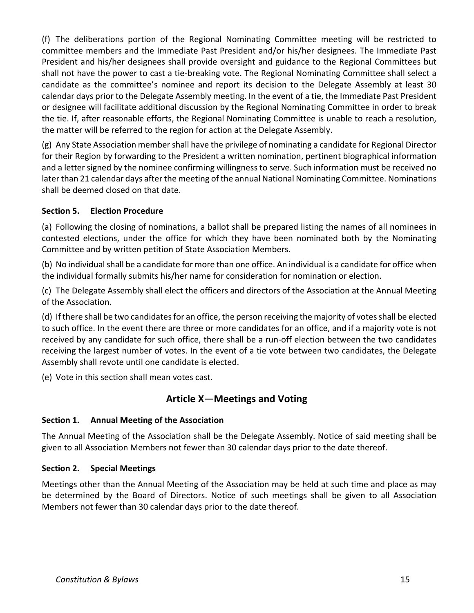(f) The deliberations portion of the Regional Nominating Committee meeting will be restricted to committee members and the Immediate Past President and/or his/her designees. The Immediate Past President and his/her designees shall provide oversight and guidance to the Regional Committees but shall not have the power to cast a tie-breaking vote. The Regional Nominating Committee shall select a candidate as the committee's nominee and report its decision to the Delegate Assembly at least 30 calendar days prior to the Delegate Assembly meeting. In the event of a tie, the Immediate Past President or designee will facilitate additional discussion by the Regional Nominating Committee in order to break the tie. If, after reasonable efforts, the Regional Nominating Committee is unable to reach a resolution, the matter will be referred to the region for action at the Delegate Assembly.

(g) Any State Association member shall have the privilege of nominating a candidate for Regional Director for their Region by forwarding to the President a written nomination, pertinent biographical information and a letter signed by the nominee confirming willingness to serve. Such information must be received no later than 21 calendar days after the meeting of the annual National Nominating Committee. Nominations shall be deemed closed on that date.

#### **Section 5. Election Procedure**

(a) Following the closing of nominations, a ballot shall be prepared listing the names of all nominees in contested elections, under the office for which they have been nominated both by the Nominating Committee and by written petition of State Association Members.

(b) No individual shall be a candidate for more than one office. An individual is a candidate for office when the individual formally submits his/her name for consideration for nomination or election.

(c) The Delegate Assembly shall elect the officers and directors of the Association at the Annual Meeting of the Association.

(d) If there shall be two candidates for an office, the person receiving the majority of votes shall be elected to such office. In the event there are three or more candidates for an office, and if a majority vote is not received by any candidate for such office, there shall be a run-off election between the two candidates receiving the largest number of votes. In the event of a tie vote between two candidates, the Delegate Assembly shall revote until one candidate is elected.

(e) Vote in this section shall mean votes cast.

# **Article X**—**Meetings and Voting**

#### **Section 1. Annual Meeting of the Association**

The Annual Meeting of the Association shall be the Delegate Assembly. Notice of said meeting shall be given to all Association Members not fewer than 30 calendar days prior to the date thereof.

#### **Section 2. Special Meetings**

Meetings other than the Annual Meeting of the Association may be held at such time and place as may be determined by the Board of Directors. Notice of such meetings shall be given to all Association Members not fewer than 30 calendar days prior to the date thereof.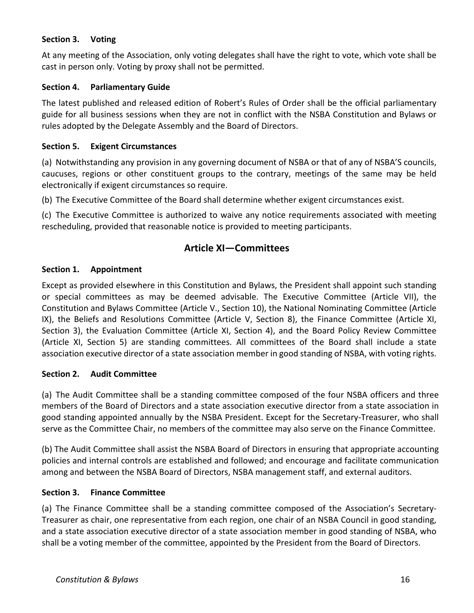#### **Section 3. Voting**

At any meeting of the Association, only voting delegates shall have the right to vote, which vote shall be cast in person only. Voting by proxy shall not be permitted.

#### **Section 4. Parliamentary Guide**

The latest published and released edition of Robert's Rules of Order shall be the official parliamentary guide for all business sessions when they are not in conflict with the NSBA Constitution and Bylaws or rules adopted by the Delegate Assembly and the Board of Directors.

#### **Section 5. Exigent Circumstances**

(a) Notwithstanding any provision in any governing document of NSBA or that of any of NSBA'S councils, caucuses, regions or other constituent groups to the contrary, meetings of the same may be held electronically if exigent circumstances so require.

(b) The Executive Committee of the Board shall determine whether exigent circumstances exist.

(c) The Executive Committee is authorized to waive any notice requirements associated with meeting rescheduling, provided that reasonable notice is provided to meeting participants.

# **Article XI—Committees**

#### **Section 1. Appointment**

Except as provided elsewhere in this Constitution and Bylaws, the President shall appoint such standing or special committees as may be deemed advisable. The Executive Committee (Article VII), the Constitution and Bylaws Committee (Article V., Section 10), the National Nominating Committee (Article IX), the Beliefs and Resolutions Committee (Article V, Section 8), the Finance Committee (Article XI, Section 3), the Evaluation Committee (Article XI, Section 4), and the Board Policy Review Committee (Article XI, Section 5) are standing committees. All committees of the Board shall include a state association executive director of a state association member in good standing of NSBA, with voting rights.

#### **Section 2. Audit Committee**

(a) The Audit Committee shall be a standing committee composed of the four NSBA officers and three members of the Board of Directors and a state association executive director from a state association in good standing appointed annually by the NSBA President. Except for the Secretary-Treasurer, who shall serve as the Committee Chair, no members of the committee may also serve on the Finance Committee.

(b) The Audit Committee shall assist the NSBA Board of Directors in ensuring that appropriate accounting policies and internal controls are established and followed; and encourage and facilitate communication among and between the NSBA Board of Directors, NSBA management staff, and external auditors.

#### **Section 3. Finance Committee**

(a) The Finance Committee shall be a standing committee composed of the Association's Secretary-Treasurer as chair, one representative from each region, one chair of an NSBA Council in good standing, and a state association executive director of a state association member in good standing of NSBA, who shall be a voting member of the committee, appointed by the President from the Board of Directors.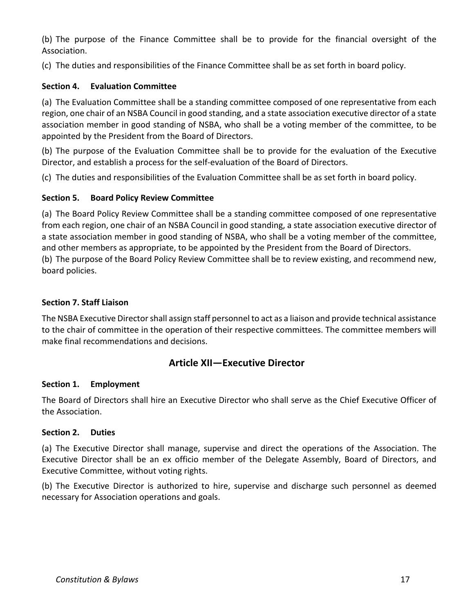(b) The purpose of the Finance Committee shall be to provide for the financial oversight of the Association.

(c) The duties and responsibilities of the Finance Committee shall be as set forth in board policy.

#### **Section 4. Evaluation Committee**

(a) The Evaluation Committee shall be a standing committee composed of one representative from each region, one chair of an NSBA Council in good standing, and a state association executive director of a state association member in good standing of NSBA, who shall be a voting member of the committee, to be appointed by the President from the Board of Directors.

(b) The purpose of the Evaluation Committee shall be to provide for the evaluation of the Executive Director, and establish a process for the self-evaluation of the Board of Directors.

(c) The duties and responsibilities of the Evaluation Committee shall be as set forth in board policy.

#### **Section 5. Board Policy Review Committee**

(a) The Board Policy Review Committee shall be a standing committee composed of one representative from each region, one chair of an NSBA Council in good standing, a state association executive director of a state association member in good standing of NSBA, who shall be a voting member of the committee, and other members as appropriate, to be appointed by the President from the Board of Directors. (b) The purpose of the Board Policy Review Committee shall be to review existing, and recommend new, board policies.

#### **Section 7. Staff Liaison**

The NSBA Executive Director shall assign staff personnel to act as a liaison and provide technical assistance to the chair of committee in the operation of their respective committees. The committee members will make final recommendations and decisions.

#### **Article XII—Executive Director**

#### **Section 1. Employment**

The Board of Directors shall hire an Executive Director who shall serve as the Chief Executive Officer of the Association.

#### **Section 2. Duties**

(a) The Executive Director shall manage, supervise and direct the operations of the Association. The Executive Director shall be an ex officio member of the Delegate Assembly, Board of Directors, and Executive Committee, without voting rights.

(b) The Executive Director is authorized to hire, supervise and discharge such personnel as deemed necessary for Association operations and goals.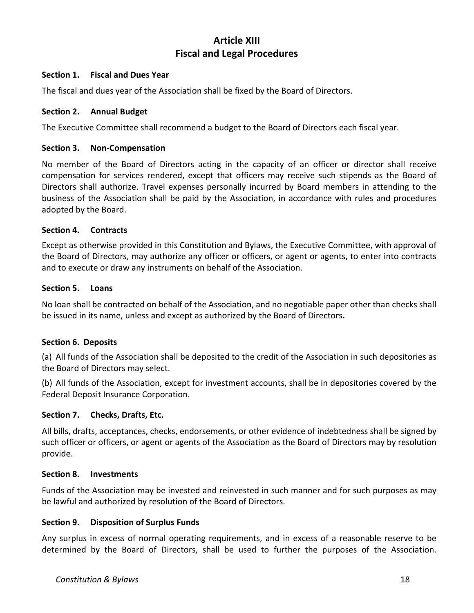# **Article XIII Fiscal and Legal Procedures**

#### **Section 1. Fiscal and Dues Year**

The fiscal and dues year of the Association shall be fixed by the Board of Directors.

#### **Section 2. Annual Budget**

The Executive Committee shall recommend a budget to the Board of Directors each fiscal year.

#### **Section 3. Non-Compensation**

No member of the Board of Directors acting in the capacity of an officer or director shall receive compensation for services rendered, except that officers may receive such stipends as the Board of Directors shall authorize. Travel expenses personally incurred by Board members in attending to the business of the Association shall be paid by the Association, in accordance with rules and procedures adopted by the Board.

#### **Section 4. Contracts**

Except as otherwise provided in this Constitution and Bylaws, the Executive Committee, with approval of the Board of Directors, may authorize any officer or officers, or agent or agents, to enter into contracts and to execute or draw any instruments on behalf of the Association.

#### **Section 5. Loans**

No loan shall be contracted on behalf of the Association, and no negotiable paper other than checks shall be issued in its name, unless and except as authorized by the Board of Directors**.**

#### **Section 6. Deposits**

(a) All funds of the Association shall be deposited to the credit of the Association in such depositories as the Board of Directors may select.

(b) All funds of the Association, except for investment accounts, shall be in depositories covered by the Federal Deposit Insurance Corporation.

#### **Section 7. Checks, Drafts, Etc.**

All bills, drafts, acceptances, checks, endorsements, or other evidence of indebtedness shall be signed by such officer or officers, or agent or agents of the Association as the Board of Directors may by resolution provide.

#### **Section 8. Investments**

Funds of the Association may be invested and reinvested in such manner and for such purposes as may be lawful and authorized by resolution of the Board of Directors.

#### **Section 9. Disposition of Surplus Funds**

Any surplus in excess of normal operating requirements, and in excess of a reasonable reserve to be determined by the Board of Directors, shall be used to further the purposes of the Association.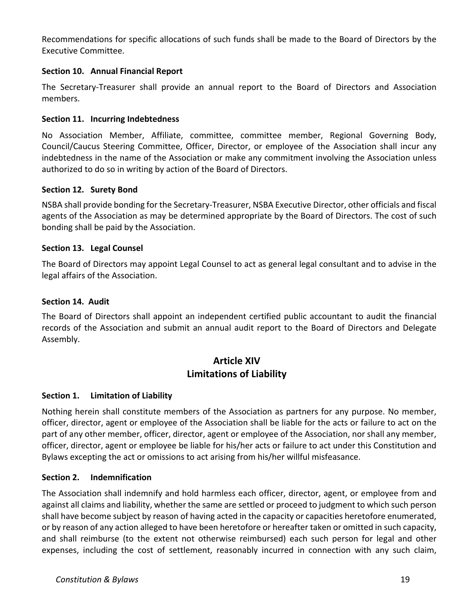Recommendations for specific allocations of such funds shall be made to the Board of Directors by the Executive Committee.

#### **Section 10. Annual Financial Report**

The Secretary-Treasurer shall provide an annual report to the Board of Directors and Association members.

#### **Section 11. Incurring Indebtedness**

No Association Member, Affiliate, committee, committee member, Regional Governing Body, Council/Caucus Steering Committee, Officer, Director, or employee of the Association shall incur any indebtedness in the name of the Association or make any commitment involving the Association unless authorized to do so in writing by action of the Board of Directors.

#### **Section 12. Surety Bond**

NSBA shall provide bonding for the Secretary-Treasurer, NSBA Executive Director, other officials and fiscal agents of the Association as may be determined appropriate by the Board of Directors. The cost of such bonding shall be paid by the Association.

#### **Section 13. Legal Counsel**

The Board of Directors may appoint Legal Counsel to act as general legal consultant and to advise in the legal affairs of the Association.

#### **Section 14. Audit**

The Board of Directors shall appoint an independent certified public accountant to audit the financial records of the Association and submit an annual audit report to the Board of Directors and Delegate Assembly.

# **Article XIV Limitations of Liability**

#### **Section 1. Limitation of Liability**

Nothing herein shall constitute members of the Association as partners for any purpose. No member, officer, director, agent or employee of the Association shall be liable for the acts or failure to act on the part of any other member, officer, director, agent or employee of the Association, nor shall any member, officer, director, agent or employee be liable for his/her acts or failure to act under this Constitution and Bylaws excepting the act or omissions to act arising from his/her willful misfeasance.

#### **Section 2. Indemnification**

The Association shall indemnify and hold harmless each officer, director, agent, or employee from and against all claims and liability, whether the same are settled or proceed to judgment to which such person shall have become subject by reason of having acted in the capacity or capacities heretofore enumerated, or by reason of any action alleged to have been heretofore or hereafter taken or omitted in such capacity, and shall reimburse (to the extent not otherwise reimbursed) each such person for legal and other expenses, including the cost of settlement, reasonably incurred in connection with any such claim,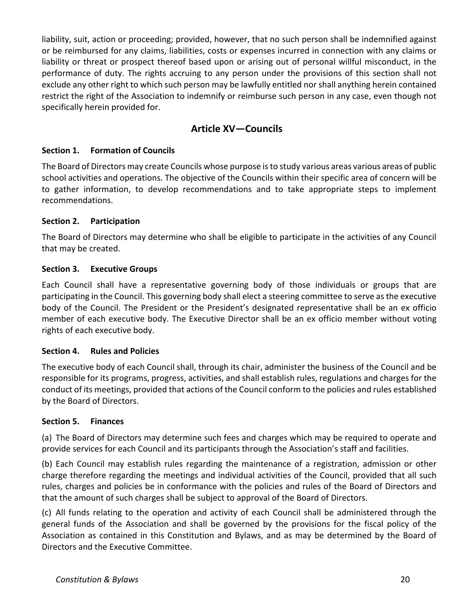liability, suit, action or proceeding; provided, however, that no such person shall be indemnified against or be reimbursed for any claims, liabilities, costs or expenses incurred in connection with any claims or liability or threat or prospect thereof based upon or arising out of personal willful misconduct, in the performance of duty. The rights accruing to any person under the provisions of this section shall not exclude any other right to which such person may be lawfully entitled nor shall anything herein contained restrict the right of the Association to indemnify or reimburse such person in any case, even though not specifically herein provided for.

# **Article XV—Councils**

#### **Section 1. Formation of Councils**

The Board of Directors may create Councils whose purpose is to study various areas various areas of public school activities and operations. The objective of the Councils within their specific area of concern will be to gather information, to develop recommendations and to take appropriate steps to implement recommendations.

#### **Section 2. Participation**

The Board of Directors may determine who shall be eligible to participate in the activities of any Council that may be created.

#### **Section 3. Executive Groups**

Each Council shall have a representative governing body of those individuals or groups that are participating in the Council. This governing body shall elect a steering committee to serve as the executive body of the Council. The President or the President's designated representative shall be an ex officio member of each executive body. The Executive Director shall be an ex officio member without voting rights of each executive body.

#### **Section 4. Rules and Policies**

The executive body of each Council shall, through its chair, administer the business of the Council and be responsible for its programs, progress, activities, and shall establish rules, regulations and charges for the conduct of its meetings, provided that actions of the Council conform to the policies and rules established by the Board of Directors.

#### **Section 5. Finances**

(a) The Board of Directors may determine such fees and charges which may be required to operate and provide services for each Council and its participants through the Association's staff and facilities.

(b) Each Council may establish rules regarding the maintenance of a registration, admission or other charge therefore regarding the meetings and individual activities of the Council, provided that all such rules, charges and policies be in conformance with the policies and rules of the Board of Directors and that the amount of such charges shall be subject to approval of the Board of Directors.

(c) All funds relating to the operation and activity of each Council shall be administered through the general funds of the Association and shall be governed by the provisions for the fiscal policy of the Association as contained in this Constitution and Bylaws, and as may be determined by the Board of Directors and the Executive Committee.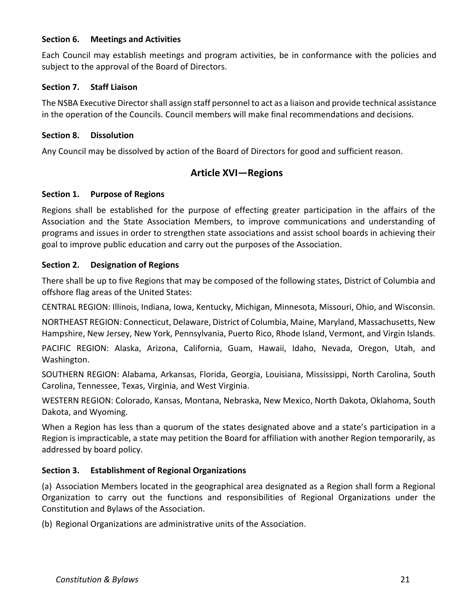#### **Section 6. Meetings and Activities**

Each Council may establish meetings and program activities, be in conformance with the policies and subject to the approval of the Board of Directors.

#### **Section 7. Staff Liaison**

The NSBA Executive Director shall assign staff personnel to act as a liaison and provide technical assistance in the operation of the Councils. Council members will make final recommendations and decisions.

#### **Section 8. Dissolution**

Any Council may be dissolved by action of the Board of Directors for good and sufficient reason.

#### **Article XVI—Regions**

#### **Section 1. Purpose of Regions**

Regions shall be established for the purpose of effecting greater participation in the affairs of the Association and the State Association Members, to improve communications and understanding of programs and issues in order to strengthen state associations and assist school boards in achieving their goal to improve public education and carry out the purposes of the Association.

#### **Section 2. Designation of Regions**

There shall be up to five Regions that may be composed of the following states, District of Columbia and offshore flag areas of the United States:

CENTRAL REGION: Illinois, Indiana, Iowa, Kentucky, Michigan, Minnesota, Missouri, Ohio, and Wisconsin.

NORTHEAST REGION: Connecticut, Delaware, District of Columbia, Maine, Maryland, Massachusetts, New Hampshire, New Jersey, New York, Pennsylvania, Puerto Rico, Rhode Island, Vermont, and Virgin Islands.

PACIFIC REGION: Alaska, Arizona, California, Guam, Hawaii, Idaho, Nevada, Oregon, Utah, and Washington.

SOUTHERN REGION: Alabama, Arkansas, Florida, Georgia, Louisiana, Mississippi, North Carolina, South Carolina, Tennessee, Texas, Virginia, and West Virginia.

WESTERN REGION: Colorado, Kansas, Montana, Nebraska, New Mexico, North Dakota, Oklahoma, South Dakota, and Wyoming.

When a Region has less than a quorum of the states designated above and a state's participation in a Region is impracticable, a state may petition the Board for affiliation with another Region temporarily, as addressed by board policy.

#### **Section 3. Establishment of Regional Organizations**

(a) Association Members located in the geographical area designated as a Region shall form a Regional Organization to carry out the functions and responsibilities of Regional Organizations under the Constitution and Bylaws of the Association.

(b) Regional Organizations are administrative units of the Association.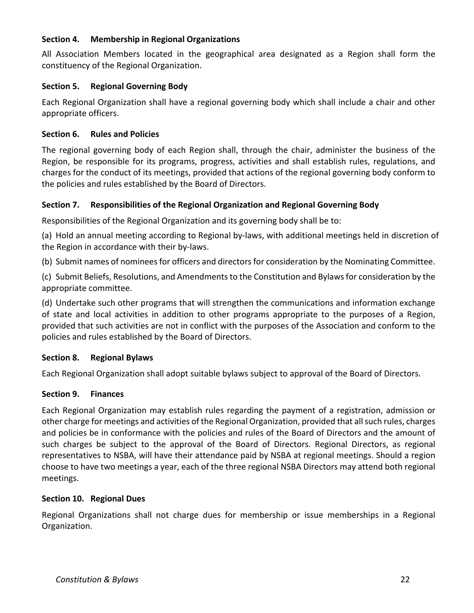#### **Section 4. Membership in Regional Organizations**

All Association Members located in the geographical area designated as a Region shall form the constituency of the Regional Organization.

#### **Section 5. Regional Governing Body**

Each Regional Organization shall have a regional governing body which shall include a chair and other appropriate officers.

#### **Section 6. Rules and Policies**

The regional governing body of each Region shall, through the chair, administer the business of the Region, be responsible for its programs, progress, activities and shall establish rules, regulations, and charges for the conduct of its meetings, provided that actions of the regional governing body conform to the policies and rules established by the Board of Directors.

#### **Section 7. Responsibilities of the Regional Organization and Regional Governing Body**

Responsibilities of the Regional Organization and its governing body shall be to:

(a) Hold an annual meeting according to Regional by-laws, with additional meetings held in discretion of the Region in accordance with their by-laws.

(b) Submit names of nominees for officers and directors for consideration by the Nominating Committee.

(c) Submit Beliefs, Resolutions, and Amendments to the Constitution and Bylaws for consideration by the appropriate committee.

(d) Undertake such other programs that will strengthen the communications and information exchange of state and local activities in addition to other programs appropriate to the purposes of a Region, provided that such activities are not in conflict with the purposes of the Association and conform to the policies and rules established by the Board of Directors.

#### **Section 8. Regional Bylaws**

Each Regional Organization shall adopt suitable bylaws subject to approval of the Board of Directors.

#### **Section 9. Finances**

Each Regional Organization may establish rules regarding the payment of a registration, admission or other charge for meetings and activities of the Regional Organization, provided that all such rules, charges and policies be in conformance with the policies and rules of the Board of Directors and the amount of such charges be subject to the approval of the Board of Directors. Regional Directors, as regional representatives to NSBA, will have their attendance paid by NSBA at regional meetings. Should a region choose to have two meetings a year, each of the three regional NSBA Directors may attend both regional meetings.

#### **Section 10. Regional Dues**

Regional Organizations shall not charge dues for membership or issue memberships in a Regional Organization.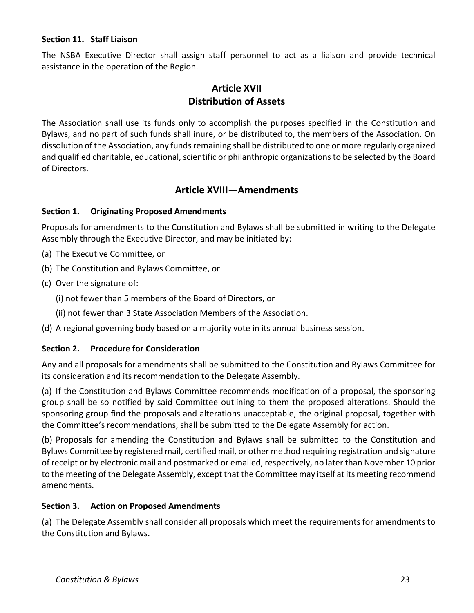#### **Section 11. Staff Liaison**

The NSBA Executive Director shall assign staff personnel to act as a liaison and provide technical assistance in the operation of the Region.

# **Article XVII Distribution of Assets**

The Association shall use its funds only to accomplish the purposes specified in the Constitution and Bylaws, and no part of such funds shall inure, or be distributed to, the members of the Association. On dissolution of the Association, any funds remaining shall be distributed to one or more regularly organized and qualified charitable, educational, scientific or philanthropic organizations to be selected by the Board of Directors.

# **Article XVIII—Amendments**

#### **Section 1. Originating Proposed Amendments**

Proposals for amendments to the Constitution and Bylaws shall be submitted in writing to the Delegate Assembly through the Executive Director, and may be initiated by:

- (a) The Executive Committee, or
- (b) The Constitution and Bylaws Committee, or
- (c) Over the signature of:
	- (i) not fewer than 5 members of the Board of Directors, or
	- (ii) not fewer than 3 State Association Members of the Association.
- (d) A regional governing body based on a majority vote in its annual business session.

#### **Section 2. Procedure for Consideration**

Any and all proposals for amendments shall be submitted to the Constitution and Bylaws Committee for its consideration and its recommendation to the Delegate Assembly.

(a) If the Constitution and Bylaws Committee recommends modification of a proposal, the sponsoring group shall be so notified by said Committee outlining to them the proposed alterations. Should the sponsoring group find the proposals and alterations unacceptable, the original proposal, together with the Committee's recommendations, shall be submitted to the Delegate Assembly for action.

(b) Proposals for amending the Constitution and Bylaws shall be submitted to the Constitution and Bylaws Committee by registered mail, certified mail, or other method requiring registration and signature of receipt or by electronic mail and postmarked or emailed, respectively, no later than November 10 prior to the meeting of the Delegate Assembly, except that the Committee may itself at its meeting recommend amendments.

#### **Section 3. Action on Proposed Amendments**

(a) The Delegate Assembly shall consider all proposals which meet the requirements for amendments to the Constitution and Bylaws.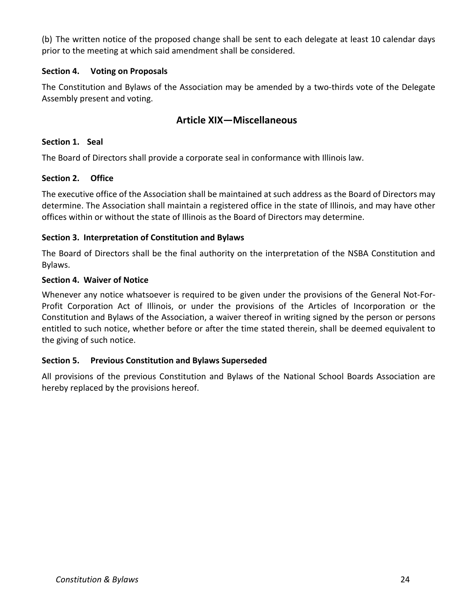(b) The written notice of the proposed change shall be sent to each delegate at least 10 calendar days prior to the meeting at which said amendment shall be considered.

#### **Section 4. Voting on Proposals**

The Constitution and Bylaws of the Association may be amended by a two-thirds vote of the Delegate Assembly present and voting.

# **Article XIX—Miscellaneous**

#### **Section 1. Seal**

The Board of Directors shall provide a corporate seal in conformance with Illinois law.

#### **Section 2. Office**

The executive office of the Association shall be maintained at such address as the Board of Directors may determine. The Association shall maintain a registered office in the state of Illinois, and may have other offices within or without the state of Illinois as the Board of Directors may determine.

#### **Section 3. Interpretation of Constitution and Bylaws**

The Board of Directors shall be the final authority on the interpretation of the NSBA Constitution and Bylaws.

#### **Section 4. Waiver of Notice**

Whenever any notice whatsoever is required to be given under the provisions of the General Not-For-Profit Corporation Act of Illinois, or under the provisions of the Articles of Incorporation or the Constitution and Bylaws of the Association, a waiver thereof in writing signed by the person or persons entitled to such notice, whether before or after the time stated therein, shall be deemed equivalent to the giving of such notice.

#### **Section 5. Previous Constitution and Bylaws Superseded**

All provisions of the previous Constitution and Bylaws of the National School Boards Association are hereby replaced by the provisions hereof.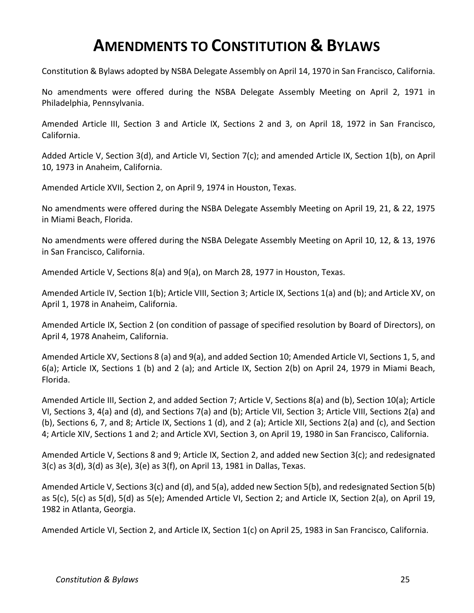# **AMENDMENTS TO CONSTITUTION & BYLAWS**

Constitution & Bylaws adopted by NSBA Delegate Assembly on April 14, 1970 in San Francisco, California.

No amendments were offered during the NSBA Delegate Assembly Meeting on April 2, 1971 in Philadelphia, Pennsylvania.

Amended Article III, Section 3 and Article IX, Sections 2 and 3, on April 18, 1972 in San Francisco, California.

Added Article V, Section 3(d), and Article VI, Section 7(c); and amended Article IX, Section 1(b), on April 10, 1973 in Anaheim, California.

Amended Article XVII, Section 2, on April 9, 1974 in Houston, Texas.

No amendments were offered during the NSBA Delegate Assembly Meeting on April 19, 21, & 22, 1975 in Miami Beach, Florida.

No amendments were offered during the NSBA Delegate Assembly Meeting on April 10, 12, & 13, 1976 in San Francisco, California.

Amended Article V, Sections 8(a) and 9(a), on March 28, 1977 in Houston, Texas.

Amended Article IV, Section 1(b); Article VIII, Section 3; Article IX, Sections 1(a) and (b); and Article XV, on April 1, 1978 in Anaheim, California.

Amended Article IX, Section 2 (on condition of passage of specified resolution by Board of Directors), on April 4, 1978 Anaheim, California.

Amended Article XV, Sections 8 (a) and 9(a), and added Section 10; Amended Article VI, Sections 1, 5, and 6(a); Article IX, Sections 1 (b) and 2 (a); and Article IX, Section 2(b) on April 24, 1979 in Miami Beach, Florida.

Amended Article III, Section 2, and added Section 7; Article V, Sections 8(a) and (b), Section 10(a); Article VI, Sections 3, 4(a) and (d), and Sections 7(a) and (b); Article VII, Section 3; Article VIII, Sections 2(a) and (b), Sections 6, 7, and 8; Article IX, Sections 1 (d), and 2 (a); Article XII, Sections 2(a) and (c), and Section 4; Article XIV, Sections 1 and 2; and Article XVI, Section 3, on April 19, 1980 in San Francisco, California.

Amended Article V, Sections 8 and 9; Article IX, Section 2, and added new Section 3(c); and redesignated 3(c) as 3(d), 3(d) as 3(e), 3(e) as 3(f), on April 13, 1981 in Dallas, Texas.

Amended Article V, Sections 3(c) and (d), and 5(a), added new Section 5(b), and redesignated Section 5(b) as 5(c), 5(c) as 5(d), 5(d) as 5(e); Amended Article VI, Section 2; and Article IX, Section 2(a), on April 19, 1982 in Atlanta, Georgia.

Amended Article VI, Section 2, and Article IX, Section 1(c) on April 25, 1983 in San Francisco, California.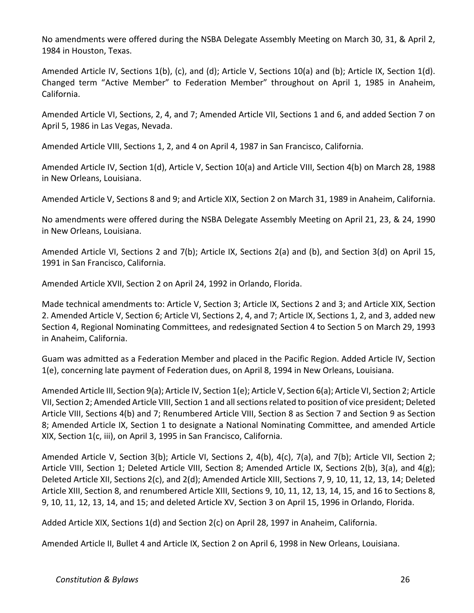No amendments were offered during the NSBA Delegate Assembly Meeting on March 30, 31, & April 2, 1984 in Houston, Texas.

Amended Article IV, Sections 1(b), (c), and (d); Article V, Sections 10(a) and (b); Article IX, Section 1(d). Changed term "Active Member" to Federation Member" throughout on April 1, 1985 in Anaheim, California.

Amended Article VI, Sections, 2, 4, and 7; Amended Article VII, Sections 1 and 6, and added Section 7 on April 5, 1986 in Las Vegas, Nevada.

Amended Article VIII, Sections 1, 2, and 4 on April 4, 1987 in San Francisco, California.

Amended Article IV, Section 1(d), Article V, Section 10(a) and Article VIII, Section 4(b) on March 28, 1988 in New Orleans, Louisiana.

Amended Article V, Sections 8 and 9; and Article XIX, Section 2 on March 31, 1989 in Anaheim, California.

No amendments were offered during the NSBA Delegate Assembly Meeting on April 21, 23, & 24, 1990 in New Orleans, Louisiana.

Amended Article VI, Sections 2 and 7(b); Article IX, Sections 2(a) and (b), and Section 3(d) on April 15, 1991 in San Francisco, California.

Amended Article XVII, Section 2 on April 24, 1992 in Orlando, Florida.

Made technical amendments to: Article V, Section 3; Article IX, Sections 2 and 3; and Article XIX, Section 2. Amended Article V, Section 6; Article VI, Sections 2, 4, and 7; Article IX, Sections 1, 2, and 3, added new Section 4, Regional Nominating Committees, and redesignated Section 4 to Section 5 on March 29, 1993 in Anaheim, California.

Guam was admitted as a Federation Member and placed in the Pacific Region. Added Article IV, Section 1(e), concerning late payment of Federation dues, on April 8, 1994 in New Orleans, Louisiana.

Amended Article III, Section 9(a); Article IV, Section 1(e); Article V, Section 6(a); Article VI, Section 2; Article VII, Section 2; Amended Article VIII, Section 1 and all sections related to position of vice president; Deleted Article VIII, Sections 4(b) and 7; Renumbered Article VIII, Section 8 as Section 7 and Section 9 as Section 8; Amended Article IX, Section 1 to designate a National Nominating Committee, and amended Article XIX, Section 1(c, iii), on April 3, 1995 in San Francisco, California.

Amended Article V, Section 3(b); Article VI, Sections 2, 4(b), 4(c), 7(a), and 7(b); Article VII, Section 2; Article VIII, Section 1; Deleted Article VIII, Section 8; Amended Article IX, Sections 2(b), 3(a), and 4(g); Deleted Article XII, Sections 2(c), and 2(d); Amended Article XIII, Sections 7, 9, 10, 11, 12, 13, 14; Deleted Article XIII, Section 8, and renumbered Article XIII, Sections 9, 10, 11, 12, 13, 14, 15, and 16 to Sections 8, 9, 10, 11, 12, 13, 14, and 15; and deleted Article XV, Section 3 on April 15, 1996 in Orlando, Florida.

Added Article XIX, Sections 1(d) and Section 2(c) on April 28, 1997 in Anaheim, California.

Amended Article II, Bullet 4 and Article IX, Section 2 on April 6, 1998 in New Orleans, Louisiana.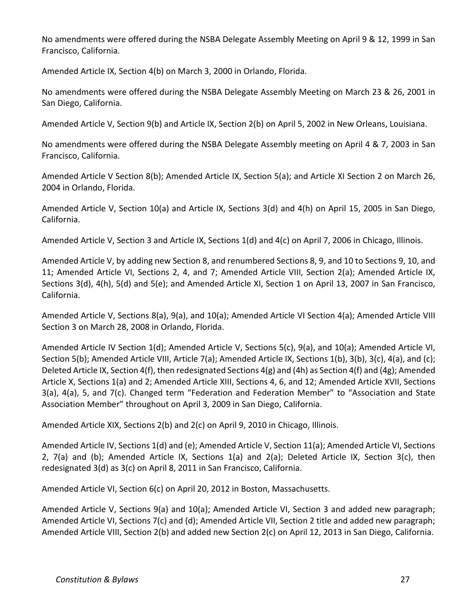No amendments were offered during the NSBA Delegate Assembly Meeting on April 9 & 12, 1999 in San Francisco, California.

Amended Article IX, Section 4(b) on March 3, 2000 in Orlando, Florida.

No amendments were offered during the NSBA Delegate Assembly Meeting on March 23 & 26, 2001 in San Diego, California.

Amended Article V, Section 9(b) and Article IX, Section 2(b) on April 5, 2002 in New Orleans, Louisiana.

No amendments were offered during the NSBA Delegate Assembly meeting on April 4 & 7, 2003 in San Francisco, California.

Amended Article V Section 8(b); Amended Article IX, Section 5(a); and Article XI Section 2 on March 26, 2004 in Orlando, Florida.

Amended Article V, Section 10(a) and Article IX, Sections 3(d) and 4(h) on April 15, 2005 in San Diego, California.

Amended Article V, Section 3 and Article IX, Sections 1(d) and 4(c) on April 7, 2006 in Chicago, Illinois.

Amended Article V, by adding new Section 8, and renumbered Sections 8, 9, and 10 to Sections 9, 10, and 11; Amended Article VI, Sections 2, 4, and 7; Amended Article VIII, Section 2(a); Amended Article IX, Sections 3(d), 4(h), 5(d) and 5(e); and Amended Article XI, Section 1 on April 13, 2007 in San Francisco, California.

Amended Article V, Sections 8(a), 9(a), and 10(a); Amended Article VI Section 4(a); Amended Article VIII Section 3 on March 28, 2008 in Orlando, Florida.

Amended Article IV Section 1(d); Amended Article V, Sections 5(c), 9(a), and 10(a); Amended Article VI, Section 5(b); Amended Article VIII, Article 7(a); Amended Article IX, Sections 1(b), 3(b), 3(c), 4(a), and (c); Deleted Article IX, Section 4(f), then redesignated Sections 4(g) and (4h) as Section 4(f) and (4g); Amended Article X, Sections 1(a) and 2; Amended Article XIII, Sections 4, 6, and 12; Amended Article XVII, Sections 3(a), 4(a), 5, and 7(c). Changed term "Federation and Federation Member" to "Association and State Association Member" throughout on April 3, 2009 in San Diego, California.

Amended Article XIX, Sections 2(b) and 2(c) on April 9, 2010 in Chicago, Illinois.

Amended Article IV, Sections 1(d) and (e); Amended Article V, Section 11(a); Amended Article VI, Sections 2, 7(a) and (b); Amended Article IX, Sections 1(a) and 2(a); Deleted Article IX, Section 3(c), then redesignated 3(d) as 3(c) on April 8, 2011 in San Francisco, California.

Amended Article VI, Section 6(c) on April 20, 2012 in Boston, Massachusetts.

Amended Article V, Sections 9(a) and 10(a); Amended Article VI, Section 3 and added new paragraph; Amended Article VI, Sections 7(c) and (d); Amended Article VII, Section 2 title and added new paragraph; Amended Article VIII, Section 2(b) and added new Section 2(c) on April 12, 2013 in San Diego, California.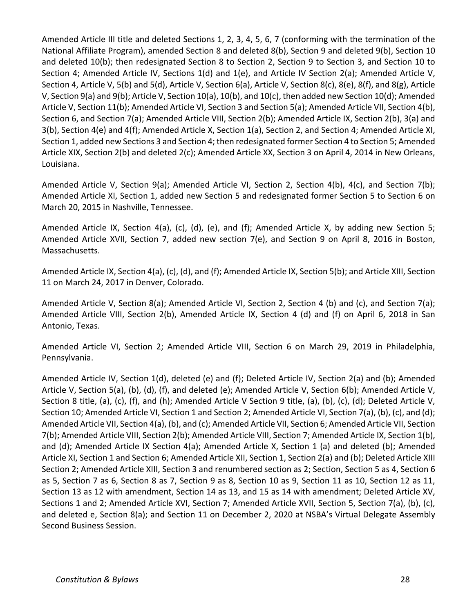Amended Article III title and deleted Sections 1, 2, 3, 4, 5, 6, 7 (conforming with the termination of the National Affiliate Program), amended Section 8 and deleted 8(b), Section 9 and deleted 9(b), Section 10 and deleted 10(b); then redesignated Section 8 to Section 2, Section 9 to Section 3, and Section 10 to Section 4; Amended Article IV, Sections 1(d) and 1(e), and Article IV Section 2(a); Amended Article V, Section 4, Article V, 5(b) and 5(d), Article V, Section 6(a), Article V, Section 8(c), 8(e), 8(f), and 8(g), Article V, Section 9(a) and 9(b); Article V, Section 10(a), 10(b), and 10(c), then added new Section 10(d); Amended Article V, Section 11(b); Amended Article VI, Section 3 and Section 5(a); Amended Article VII, Section 4(b), Section 6, and Section 7(a); Amended Article VIII, Section 2(b); Amended Article IX, Section 2(b), 3(a) and 3(b), Section 4(e) and 4(f); Amended Article X, Section 1(a), Section 2, and Section 4; Amended Article XI, Section 1, added new Sections 3 and Section 4; then redesignated former Section 4 to Section 5; Amended Article XIX, Section 2(b) and deleted 2(c); Amended Article XX, Section 3 on April 4, 2014 in New Orleans, Louisiana.

Amended Article V, Section 9(a); Amended Article VI, Section 2, Section 4(b), 4(c), and Section 7(b); Amended Article XI, Section 1, added new Section 5 and redesignated former Section 5 to Section 6 on March 20, 2015 in Nashville, Tennessee.

Amended Article IX, Section 4(a), (c), (d), (e), and (f); Amended Article X, by adding new Section 5; Amended Article XVII, Section 7, added new section 7(e), and Section 9 on April 8, 2016 in Boston, Massachusetts.

Amended Article IX, Section 4(a), (c), (d), and (f); Amended Article IX, Section 5(b); and Article XIII, Section 11 on March 24, 2017 in Denver, Colorado.

Amended Article V, Section 8(a); Amended Article VI, Section 2, Section 4 (b) and (c), and Section 7(a); Amended Article VIII, Section 2(b), Amended Article IX, Section 4 (d) and (f) on April 6, 2018 in San Antonio, Texas.

Amended Article VI, Section 2; Amended Article VIII, Section 6 on March 29, 2019 in Philadelphia, Pennsylvania.

Amended Article IV, Section 1(d), deleted (e) and (f); Deleted Article IV, Section 2(a) and (b); Amended Article V, Section 5(a), (b), (d), (f), and deleted (e); Amended Article V, Section 6(b); Amended Article V, Section 8 title, (a), (c), (f), and (h); Amended Article V Section 9 title, (a), (b), (c), (d); Deleted Article V, Section 10; Amended Article VI, Section 1 and Section 2; Amended Article VI, Section 7(a), (b), (c), and (d); Amended Article VII, Section 4(a), (b), and (c); Amended Article VII, Section 6; Amended Article VII, Section 7(b); Amended Article VIII, Section 2(b); Amended Article VIII, Section 7; Amended Article IX, Section 1(b), and (d); Amended Article IX Section 4(a); Amended Article X, Section 1 (a) and deleted (b); Amended Article XI, Section 1 and Section 6; Amended Article XII, Section 1, Section 2(a) and (b); Deleted Article XIII Section 2; Amended Article XIII, Section 3 and renumbered section as 2; Section, Section 5 as 4, Section 6 as 5, Section 7 as 6, Section 8 as 7, Section 9 as 8, Section 10 as 9, Section 11 as 10, Section 12 as 11, Section 13 as 12 with amendment, Section 14 as 13, and 15 as 14 with amendment; Deleted Article XV, Sections 1 and 2; Amended Article XVI, Section 7; Amended Article XVII, Section 5, Section 7(a), (b), (c), and deleted e, Section 8(a); and Section 11 on December 2, 2020 at NSBA's Virtual Delegate Assembly Second Business Session.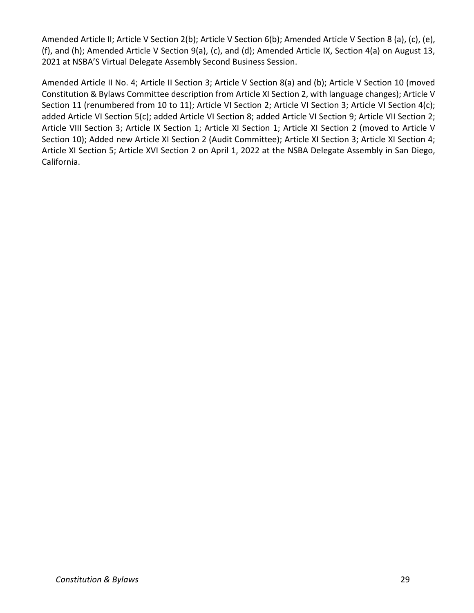Amended Article II; Article V Section 2(b); Article V Section 6(b); Amended Article V Section 8 (a), (c), (e), (f), and (h); Amended Article V Section 9(a), (c), and (d); Amended Article IX, Section 4(a) on August 13, 2021 at NSBA'S Virtual Delegate Assembly Second Business Session.

Amended Article II No. 4; Article II Section 3; Article V Section 8(a) and (b); Article V Section 10 (moved Constitution & Bylaws Committee description from Article XI Section 2, with language changes); Article V Section 11 (renumbered from 10 to 11); Article VI Section 2; Article VI Section 3; Article VI Section 4(c); added Article VI Section 5(c); added Article VI Section 8; added Article VI Section 9; Article VII Section 2; Article VIII Section 3; Article IX Section 1; Article XI Section 1; Article XI Section 2 (moved to Article V Section 10); Added new Article XI Section 2 (Audit Committee); Article XI Section 3; Article XI Section 4; Article XI Section 5; Article XVI Section 2 on April 1, 2022 at the NSBA Delegate Assembly in San Diego, California.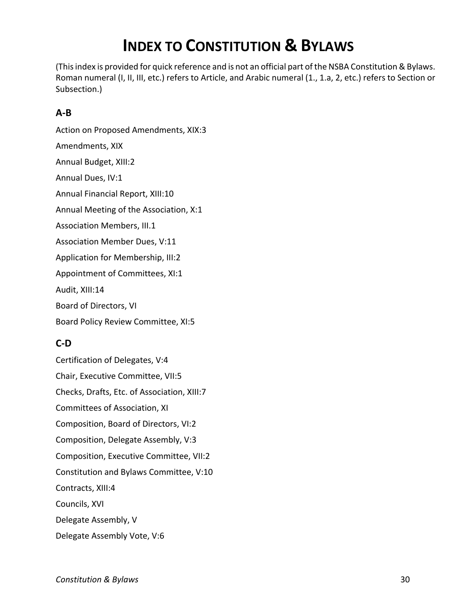# **INDEX TO CONSTITUTION & BYLAWS**

(This index is provided for quick reference and is not an official part of the NSBA Constitution & Bylaws. Roman numeral (I, II, III, etc.) refers to Article, and Arabic numeral (1., 1.a, 2, etc.) refers to Section or Subsection.)

# **A-B**

Action on Proposed Amendments, XIX:3 Amendments, XIX Annual Budget, XIII:2 Annual Dues, IV:1 Annual Financial Report, XIII:10 Annual Meeting of the Association, X:1 Association Members, III.1 Association Member Dues, V:11 Application for Membership, III:2 Appointment of Committees, XI:1 Audit, XIII:14 Board of Directors, VI Board Policy Review Committee, XI:5

# **C-D**

Certification of Delegates, V:4 Chair, Executive Committee, VII:5 Checks, Drafts, Etc. of Association, XIII:7 Committees of Association, XI Composition, Board of Directors, VI:2 Composition, Delegate Assembly, V:3 Composition, Executive Committee, VII:2 Constitution and Bylaws Committee, V:10 Contracts, XIII:4 Councils, XVI Delegate Assembly, V Delegate Assembly Vote, V:6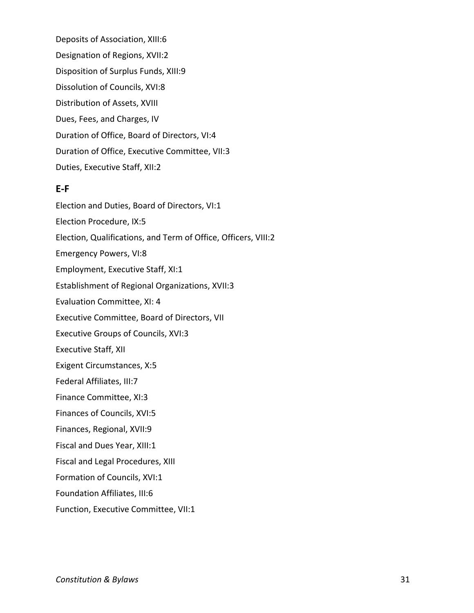Deposits of Association, XIII:6 Designation of Regions, XVII:2 Disposition of Surplus Funds, XIII:9 Dissolution of Councils, XVI:8 Distribution of Assets, XVIII Dues, Fees, and Charges, IV Duration of Office, Board of Directors, VI:4 Duration of Office, Executive Committee, VII:3 Duties, Executive Staff, XII:2

#### **E-F**

Election and Duties, Board of Directors, VI:1 Election Procedure, IX:5 Election, Qualifications, and Term of Office, Officers, VIII:2 Emergency Powers, VI:8 Employment, Executive Staff, XI:1 Establishment of Regional Organizations, XVII:3 Evaluation Committee, XI: 4 Executive Committee, Board of Directors, VII Executive Groups of Councils, XVI:3 Executive Staff, XII Exigent Circumstances, X:5 Federal Affiliates, III:7 Finance Committee, XI:3 Finances of Councils, XVI:5 Finances, Regional, XVII:9 Fiscal and Dues Year, XIII:1 Fiscal and Legal Procedures, XIII Formation of Councils, XVI:1 Foundation Affiliates, III:6 Function, Executive Committee, VII:1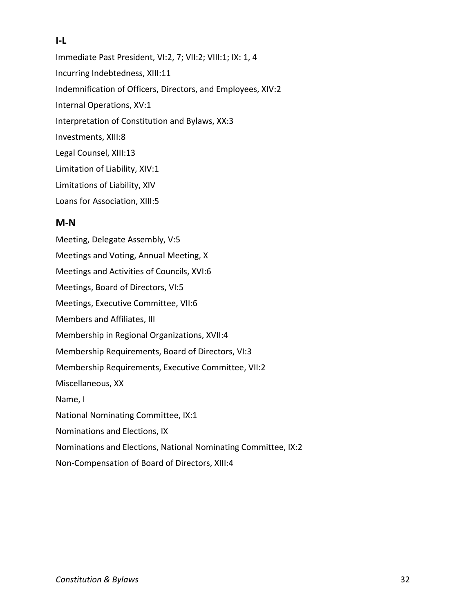# **I-L**

Immediate Past President, VI:2, 7; VII:2; VIII:1; IX: 1, 4 Incurring Indebtedness, XIII:11 Indemnification of Officers, Directors, and Employees, XIV:2 Internal Operations, XV:1 Interpretation of Constitution and Bylaws, XX:3 Investments, XIII:8 Legal Counsel, XIII:13 Limitation of Liability, XIV:1 Limitations of Liability, XIV Loans for Association, XIII:5

#### **M-N**

Meeting, Delegate Assembly, V:5 Meetings and Voting, Annual Meeting, X Meetings and Activities of Councils, XVI:6 Meetings, Board of Directors, VI:5 Meetings, Executive Committee, VII:6 Members and Affiliates, III Membership in Regional Organizations, XVII:4 Membership Requirements, Board of Directors, VI:3 Membership Requirements, Executive Committee, VII:2 Miscellaneous, XX Name, I National Nominating Committee, IX:1 Nominations and Elections, IX Nominations and Elections, National Nominating Committee, IX:2 Non-Compensation of Board of Directors, XIII:4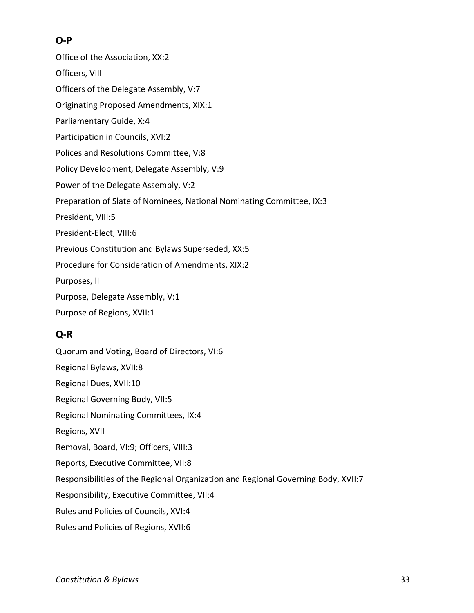# **O-P**

Office of the Association, XX:2

Officers, VIII

Officers of the Delegate Assembly, V:7

Originating Proposed Amendments, XIX:1

Parliamentary Guide, X:4

Participation in Councils, XVI:2

Polices and Resolutions Committee, V:8

Policy Development, Delegate Assembly, V:9

Power of the Delegate Assembly, V:2

Preparation of Slate of Nominees, National Nominating Committee, IX:3

President, VIII:5

President-Elect, VIII:6

Previous Constitution and Bylaws Superseded, XX:5

Procedure for Consideration of Amendments, XIX:2

Purposes, II

Purpose, Delegate Assembly, V:1

Purpose of Regions, XVII:1

# **Q-R**

Quorum and Voting, Board of Directors, VI:6 Regional Bylaws, XVII:8 Regional Dues, XVII:10 Regional Governing Body, VII:5 Regional Nominating Committees, IX:4 Regions, XVII Removal, Board, VI:9; Officers, VIII:3 Reports, Executive Committee, VII:8 Responsibilities of the Regional Organization and Regional Governing Body, XVII:7 Responsibility, Executive Committee, VII:4 Rules and Policies of Councils, XVI:4 Rules and Policies of Regions, XVII:6